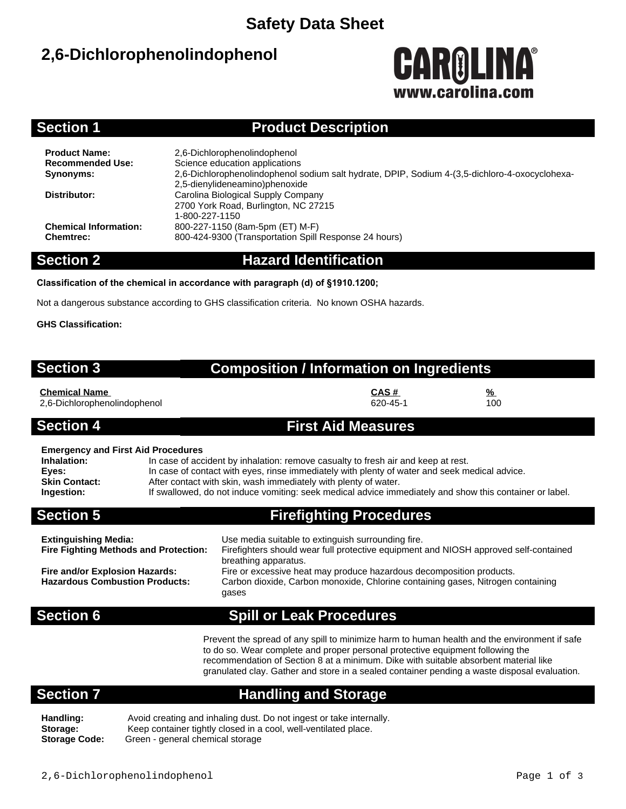## **Safety Data Sheet**

# **2,6-Dichlorophenolindophenol**



### **Section 1 Product Description**

| 2,6-Dichlorophenolindophenol<br>Science education applications                                 |
|------------------------------------------------------------------------------------------------|
| 2.6-Dichlorophenolindophenol sodium salt hydrate, DPIP, Sodium 4-(3.5-dichloro-4-oxocyclohexa- |
| 2,5-dienylideneamino)phenoxide                                                                 |
| Carolina Biological Supply Company                                                             |
| 2700 York Road, Burlington, NC 27215                                                           |
| 1-800-227-1150                                                                                 |
| 800-227-1150 (8am-5pm (ET) M-F)                                                                |
| 800-424-9300 (Transportation Spill Response 24 hours)                                          |
|                                                                                                |

### **Section 2 Hazard Identification**

**Classification of the chemical in accordance with paragraph (d) of §1910.1200;**

Not a dangerous substance according to GHS classification criteria. No known OSHA hazards.

**GHS Classification:**

| <b>Section 3</b>                                                                                        | <b>Composition / Information on Ingredients</b> |                                                                                                                                                                                                                                                                                                                                                                  |                                |                 |  |
|---------------------------------------------------------------------------------------------------------|-------------------------------------------------|------------------------------------------------------------------------------------------------------------------------------------------------------------------------------------------------------------------------------------------------------------------------------------------------------------------------------------------------------------------|--------------------------------|-----------------|--|
| <b>Chemical Name</b><br>2,6-Dichlorophenolindophenol                                                    |                                                 |                                                                                                                                                                                                                                                                                                                                                                  | CAS#<br>620-45-1               | <u>%</u><br>100 |  |
| <b>Section 4</b>                                                                                        |                                                 | <b>First Aid Measures</b>                                                                                                                                                                                                                                                                                                                                        |                                |                 |  |
| <b>Emergency and First Aid Procedures</b><br>Inhalation:<br>Eyes:<br><b>Skin Contact:</b><br>Ingestion: |                                                 | In case of accident by inhalation: remove casualty to fresh air and keep at rest.<br>In case of contact with eyes, rinse immediately with plenty of water and seek medical advice.<br>After contact with skin, wash immediately with plenty of water.<br>If swallowed, do not induce vomiting: seek medical advice immediately and show this container or label. |                                |                 |  |
| <b>Section 5</b>                                                                                        |                                                 |                                                                                                                                                                                                                                                                                                                                                                  | <b>Firefighting Procedures</b> |                 |  |
| Extinguishing Media:                                                                                    |                                                 | Use media suitable to extinguish surrounding fire.                                                                                                                                                                                                                                                                                                               |                                |                 |  |

**Extinguishing Media:** Use media suitable to extinguish surrounding fire. **Fire Fighting Methods and Protection:** Firefighters should wear full protective equipment and NIOSH approved self-contained breathing apparatus. **Fire and/or Explosion Hazards:** Fire or excessive heat may produce hazardous decomposition products. **Hazardous Combustion Products:** Carbon dioxide, Carbon monoxide, Chlorine containing gases, Nitrogen containing gases

## **Section 6 Spill or Leak Procedures**

Prevent the spread of any spill to minimize harm to human health and the environment if safe to do so. Wear complete and proper personal protective equipment following the recommendation of Section 8 at a minimum. Dike with suitable absorbent material like granulated clay. Gather and store in a sealed container pending a waste disposal evaluation.

## **Section 7 Handling and Storage**

**Handling:** Avoid creating and inhaling dust. Do not ingest or take internally. Storage: Keep container tightly closed in a cool, well-ventilated place.<br>**Storage Code:** Green - general chemical storage **Storage Code:** Green - general chemical storage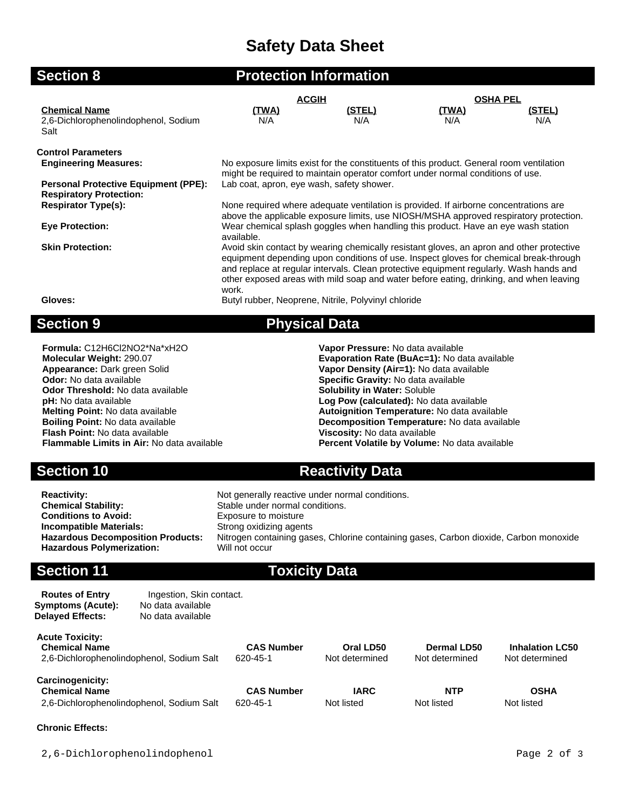# **Safety Data Sheet**

| <b>Section 8</b>                                                              |                                                                                                                                                                                                                                                                                                                                                                                | <b>Protection Information</b>                       |                     |                 |
|-------------------------------------------------------------------------------|--------------------------------------------------------------------------------------------------------------------------------------------------------------------------------------------------------------------------------------------------------------------------------------------------------------------------------------------------------------------------------|-----------------------------------------------------|---------------------|-----------------|
|                                                                               | <b>ACGIH</b>                                                                                                                                                                                                                                                                                                                                                                   |                                                     |                     | <b>OSHA PEL</b> |
| <b>Chemical Name</b><br>2,6-Dichlorophenolindophenol, Sodium<br>Salt          | <u>(TWA)</u><br>N/A                                                                                                                                                                                                                                                                                                                                                            | <u>(STEL)</u><br>N/A                                | <u>(TWA)</u><br>N/A | (STEL)<br>N/A   |
| <b>Control Parameters</b>                                                     |                                                                                                                                                                                                                                                                                                                                                                                |                                                     |                     |                 |
| <b>Engineering Measures:</b>                                                  | No exposure limits exist for the constituents of this product. General room ventilation<br>might be required to maintain operator comfort under normal conditions of use.                                                                                                                                                                                                      |                                                     |                     |                 |
| <b>Personal Protective Equipment (PPE):</b><br><b>Respiratory Protection:</b> | Lab coat, apron, eye wash, safety shower.<br>None required where adequate ventilation is provided. If airborne concentrations are<br>above the applicable exposure limits, use NIOSH/MSHA approved respiratory protection.                                                                                                                                                     |                                                     |                     |                 |
| <b>Respirator Type(s):</b>                                                    |                                                                                                                                                                                                                                                                                                                                                                                |                                                     |                     |                 |
| <b>Eye Protection:</b>                                                        | Wear chemical splash goggles when handling this product. Have an eye wash station<br>available.                                                                                                                                                                                                                                                                                |                                                     |                     |                 |
| <b>Skin Protection:</b>                                                       | Avoid skin contact by wearing chemically resistant gloves, an apron and other protective<br>equipment depending upon conditions of use. Inspect gloves for chemical break-through<br>and replace at regular intervals. Clean protective equipment regularly. Wash hands and<br>other exposed areas with mild soap and water before eating, drinking, and when leaving<br>work. |                                                     |                     |                 |
| Gloves:                                                                       |                                                                                                                                                                                                                                                                                                                                                                                | Butyl rubber, Neoprene, Nitrile, Polyvinyl chloride |                     |                 |
| <b>Section 9</b>                                                              |                                                                                                                                                                                                                                                                                                                                                                                | <b>Physical Data</b>                                |                     |                 |

**Formula:** C12H6Cl2NO2\*Na\*xH2O **Vapor Pressure:** No data available **Odor:** No data available **Specific Gravity:** No data available **Odor Threshold:** No data available **Solubility in Water:** Soluble **pH:** No data available **Log Pow (calculated):** No data available **Flash Point:** No data available **Viscosity:** No data available

**Molecular Weight:** 290.07 **Evaporation Rate (BuAc=1):** No data available **Appearance:** Dark green Solid **Example 2018 Vapor Density (Air=1):** No data available **Vapor Density (Air=1):** No data available **Melting Point:** No data available **Autoignition Temperature:** No data available **Boiling Point:** No data available<br>**Boiling Point:** No data available **Autoignition Temperature: No data availa Boiling Point:** No data available **Decomposition Temperature:** No data available **Flash Point:** No data available **Flash Point:** No data available Percent Volatile by Volume: No data available

**Section 10 Reactivity Data** 

**Reactivity:** Not generally reactive under normal conditions.<br> **Chemical Stability:** Stable under normal conditions. **Chemical Stability:** Stable under normal conditions.<br> **Conditions to Avoid:** Exposure to moisture **Exposure to moisture Incompatible Materials:** Strong oxidizing agents<br> **Hazardous Decomposition Products:** Nitrogen containing gas Hitrogen containing gases, Chlorine containing gases, Carbon dioxide, Carbon monoxide<br>Will not occur **Hazardous Polymerization:** 

### **Section 11 Toxicity Data**

| <b>Routes of Entry</b><br><b>Symptoms (Acute):</b><br><b>Delayed Effects:</b>                | Ingestion, Skin contact.<br>No data available<br>No data available |                               |                             |                               |                                          |
|----------------------------------------------------------------------------------------------|--------------------------------------------------------------------|-------------------------------|-----------------------------|-------------------------------|------------------------------------------|
| <b>Acute Toxicity:</b><br><b>Chemical Name</b><br>2,6-Dichlorophenolindophenol, Sodium Salt  |                                                                    | <b>CAS Number</b><br>620-45-1 | Oral LD50<br>Not determined | Dermal LD50<br>Not determined | <b>Inhalation LC50</b><br>Not determined |
| <b>Carcinogenicity:</b><br><b>Chemical Name</b><br>2,6-Dichlorophenolindophenol, Sodium Salt |                                                                    | <b>CAS Number</b><br>620-45-1 | <b>IARC</b><br>Not listed   | <b>NTP</b><br>Not listed      | <b>OSHA</b><br>Not listed                |

### **Chronic Effects:**

2,6-Dichlorophenolindophenol Page 2 of 3